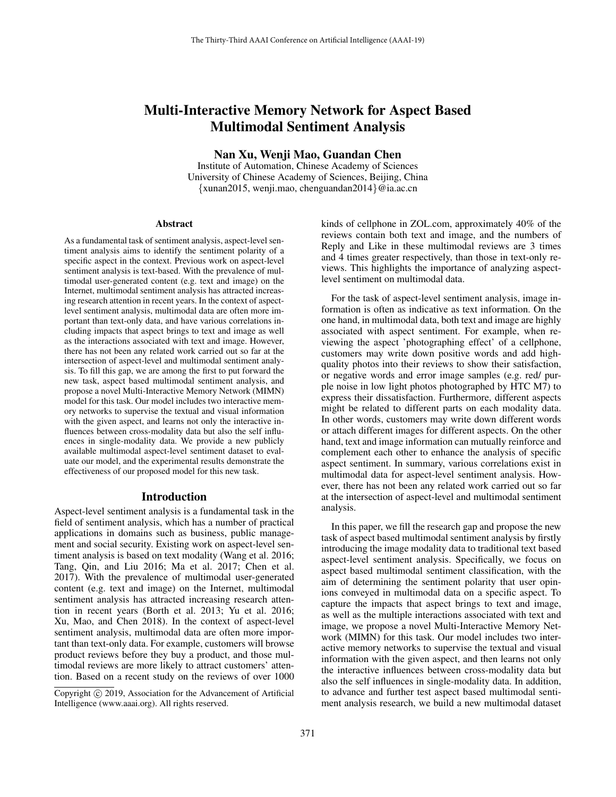## Multi-Interactive Memory Network for Aspect Based Multimodal Sentiment Analysis

Nan Xu, Wenji Mao, Guandan Chen

Institute of Automation, Chinese Academy of Sciences University of Chinese Academy of Sciences, Beijing, China {xunan2015, wenji.mao, chenguandan2014}@ia.ac.cn

#### Abstract

As a fundamental task of sentiment analysis, aspect-level sentiment analysis aims to identify the sentiment polarity of a specific aspect in the context. Previous work on aspect-level sentiment analysis is text-based. With the prevalence of multimodal user-generated content (e.g. text and image) on the Internet, multimodal sentiment analysis has attracted increasing research attention in recent years. In the context of aspectlevel sentiment analysis, multimodal data are often more important than text-only data, and have various correlations including impacts that aspect brings to text and image as well as the interactions associated with text and image. However, there has not been any related work carried out so far at the intersection of aspect-level and multimodal sentiment analysis. To fill this gap, we are among the first to put forward the new task, aspect based multimodal sentiment analysis, and propose a novel Multi-Interactive Memory Network (MIMN) model for this task. Our model includes two interactive memory networks to supervise the textual and visual information with the given aspect, and learns not only the interactive influences between cross-modality data but also the self influences in single-modality data. We provide a new publicly available multimodal aspect-level sentiment dataset to evaluate our model, and the experimental results demonstrate the effectiveness of our proposed model for this new task.

#### Introduction

Aspect-level sentiment analysis is a fundamental task in the field of sentiment analysis, which has a number of practical applications in domains such as business, public management and social security. Existing work on aspect-level sentiment analysis is based on text modality [\(Wang et al. 2016;](#page-7-0) [Tang, Qin, and Liu 2016;](#page-7-1) [Ma et al. 2017;](#page-7-2) [Chen et al.](#page-7-3) [2017\)](#page-7-3). With the prevalence of multimodal user-generated content (e.g. text and image) on the Internet, multimodal sentiment analysis has attracted increasing research attention in recent years [\(Borth et al. 2013;](#page-7-4) [Yu et al. 2016;](#page-7-5) [Xu, Mao, and Chen 2018\)](#page-7-6). In the context of aspect-level sentiment analysis, multimodal data are often more important than text-only data. For example, customers will browse product reviews before they buy a product, and those multimodal reviews are more likely to attract customers' attention. Based on a recent study on the reviews of over 1000 kinds of cellphone in ZOL.com, approximately 40% of the reviews contain both text and image, and the numbers of Reply and Like in these multimodal reviews are 3 times and 4 times greater respectively, than those in text-only reviews. This highlights the importance of analyzing aspectlevel sentiment on multimodal data.

For the task of aspect-level sentiment analysis, image information is often as indicative as text information. On the one hand, in multimodal data, both text and image are highly associated with aspect sentiment. For example, when reviewing the aspect 'photographing effect' of a cellphone, customers may write down positive words and add highquality photos into their reviews to show their satisfaction, or negative words and error image samples (e.g. red/ purple noise in low light photos photographed by HTC M7) to express their dissatisfaction. Furthermore, different aspects might be related to different parts on each modality data. In other words, customers may write down different words or attach different images for different aspects. On the other hand, text and image information can mutually reinforce and complement each other to enhance the analysis of specific aspect sentiment. In summary, various correlations exist in multimodal data for aspect-level sentiment analysis. However, there has not been any related work carried out so far at the intersection of aspect-level and multimodal sentiment analysis.

In this paper, we fill the research gap and propose the new task of aspect based multimodal sentiment analysis by firstly introducing the image modality data to traditional text based aspect-level sentiment analysis. Specifically, we focus on aspect based multimodal sentiment classification, with the aim of determining the sentiment polarity that user opinions conveyed in multimodal data on a specific aspect. To capture the impacts that aspect brings to text and image, as well as the multiple interactions associated with text and image, we propose a novel Multi-Interactive Memory Network (MIMN) for this task. Our model includes two interactive memory networks to supervise the textual and visual information with the given aspect, and then learns not only the interactive influences between cross-modality data but also the self influences in single-modality data. In addition, to advance and further test aspect based multimodal sentiment analysis research, we build a new multimodal dataset

Copyright  $\odot$  2019, Association for the Advancement of Artificial Intelligence (www.aaai.org). All rights reserved.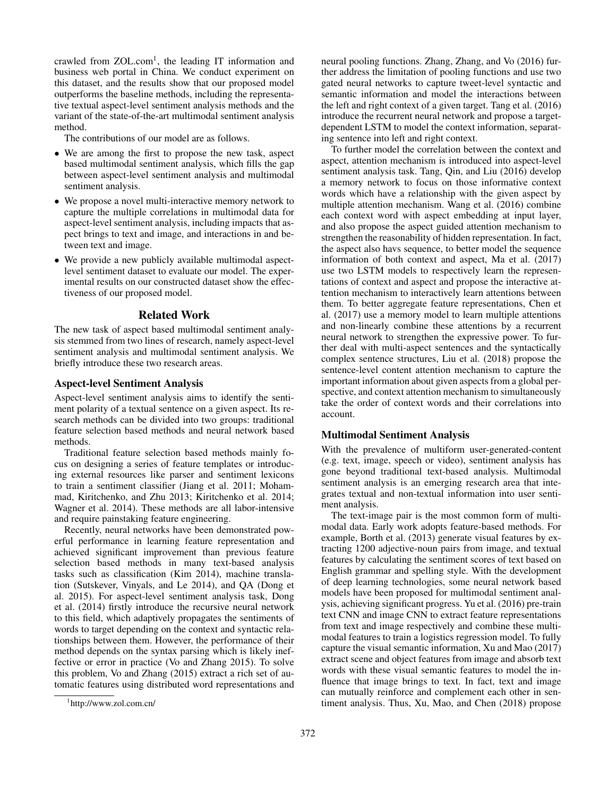crawled from  $ZOL.com<sup>1</sup>$  $ZOL.com<sup>1</sup>$  $ZOL.com<sup>1</sup>$ , the leading IT information and business web portal in China. We conduct experiment on this dataset, and the results show that our proposed model outperforms the baseline methods, including the representative textual aspect-level sentiment analysis methods and the variant of the state-of-the-art multimodal sentiment analysis method.

The contributions of our model are as follows.

- We are among the first to propose the new task, aspect based multimodal sentiment analysis, which fills the gap between aspect-level sentiment analysis and multimodal sentiment analysis.
- We propose a novel multi-interactive memory network to capture the multiple correlations in multimodal data for aspect-level sentiment analysis, including impacts that aspect brings to text and image, and interactions in and between text and image.
- We provide a new publicly available multimodal aspectlevel sentiment dataset to evaluate our model. The experimental results on our constructed dataset show the effectiveness of our proposed model.

## Related Work

The new task of aspect based multimodal sentiment analysis stemmed from two lines of research, namely aspect-level sentiment analysis and multimodal sentiment analysis. We briefly introduce these two research areas.

## Aspect-level Sentiment Analysis

Aspect-level sentiment analysis aims to identify the sentiment polarity of a textual sentence on a given aspect. Its research methods can be divided into two groups: traditional feature selection based methods and neural network based methods.

Traditional feature selection based methods mainly focus on designing a series of feature templates or introducing external resources like parser and sentiment lexicons to train a sentiment classifier [\(Jiang et al. 2011;](#page-7-7) [Moham](#page-7-8)[mad, Kiritchenko, and Zhu 2013;](#page-7-8) [Kiritchenko et al. 2014;](#page-7-9) [Wagner et al. 2014\)](#page-7-10). These methods are all labor-intensive and require painstaking feature engineering.

Recently, neural networks have been demonstrated powerful performance in learning feature representation and achieved significant improvement than previous feature selection based methods in many text-based analysis tasks such as classification [\(Kim 2014\)](#page-7-11), machine translation [\(Sutskever, Vinyals, and Le 2014\)](#page-7-12), and QA [\(Dong et](#page-7-13) [al. 2015\)](#page-7-13). For aspect-level sentiment analysis task, [Dong](#page-7-14) [et al.](#page-7-14) [\(2014\)](#page-7-14) firstly introduce the recursive neural network to this field, which adaptively propagates the sentiments of words to target depending on the context and syntactic relationships between them. However, the performance of their method depends on the syntax parsing which is likely ineffective or error in practice [\(Vo and Zhang 2015\)](#page-7-15). To solve this problem, [Vo and Zhang](#page-7-15) [\(2015\)](#page-7-15) extract a rich set of automatic features using distributed word representations and

neural pooling functions. [Zhang, Zhang, and Vo](#page-7-16) [\(2016\)](#page-7-16) further address the limitation of pooling functions and use two gated neural networks to capture tweet-level syntactic and semantic information and model the interactions between the left and right context of a given target. [Tang et al.](#page-7-17) [\(2016\)](#page-7-17) introduce the recurrent neural network and propose a targetdependent LSTM to model the context information, separating sentence into left and right context.

To further model the correlation between the context and aspect, attention mechanism is introduced into aspect-level sentiment analysis task. [Tang, Qin, and Liu](#page-7-1) [\(2016\)](#page-7-1) develop a memory network to focus on those informative context words which have a relationship with the given aspect by multiple attention mechanism. [Wang et al.](#page-7-0) [\(2016\)](#page-7-0) combine each context word with aspect embedding at input layer, and also propose the aspect guided attention mechanism to strengthen the reasonability of hidden representation. In fact, the aspect also havs sequence, to better model the sequence information of both context and aspect, [Ma et al.](#page-7-2) [\(2017\)](#page-7-2) use two LSTM models to respectively learn the representations of context and aspect and propose the interactive attention mechanism to interactively learn attentions between them. To better aggregate feature representations, [Chen et](#page-7-3) [al.](#page-7-3) [\(2017\)](#page-7-3) use a memory model to learn multiple attentions and non-linearly combine these attentions by a recurrent neural network to strengthen the expressive power. To further deal with multi-aspect sentences and the syntactically complex sentence structures, [Liu et al.](#page-7-18) [\(2018\)](#page-7-18) propose the sentence-level content attention mechanism to capture the important information about given aspects from a global perspective, and context attention mechanism to simultaneously take the order of context words and their correlations into account.

## Multimodal Sentiment Analysis

With the prevalence of multiform user-generated-content (e.g. text, image, speech or video), sentiment analysis has gone beyond traditional text-based analysis. Multimodal sentiment analysis is an emerging research area that integrates textual and non-textual information into user sentiment analysis.

The text-image pair is the most common form of multimodal data. Early work adopts feature-based methods. For example, [Borth et al.](#page-7-4) [\(2013\)](#page-7-4) generate visual features by extracting 1200 adjective-noun pairs from image, and textual features by calculating the sentiment scores of text based on English grammar and spelling style. With the development of deep learning technologies, some neural network based models have been proposed for multimodal sentiment analysis, achieving significant progress. [Yu et al.](#page-7-5) [\(2016\)](#page-7-5) pre-train text CNN and image CNN to extract feature representations from text and image respectively and combine these multimodal features to train a logistics regression model. To fully capture the visual semantic information, [Xu and Mao](#page-7-19) [\(2017\)](#page-7-19) extract scene and object features from image and absorb text words with these visual semantic features to model the influence that image brings to text. In fact, text and image can mutually reinforce and complement each other in sentiment analysis. Thus, [Xu, Mao, and Chen](#page-7-6) [\(2018\)](#page-7-6) propose

<span id="page-1-0"></span><sup>1</sup> http://www.zol.com.cn/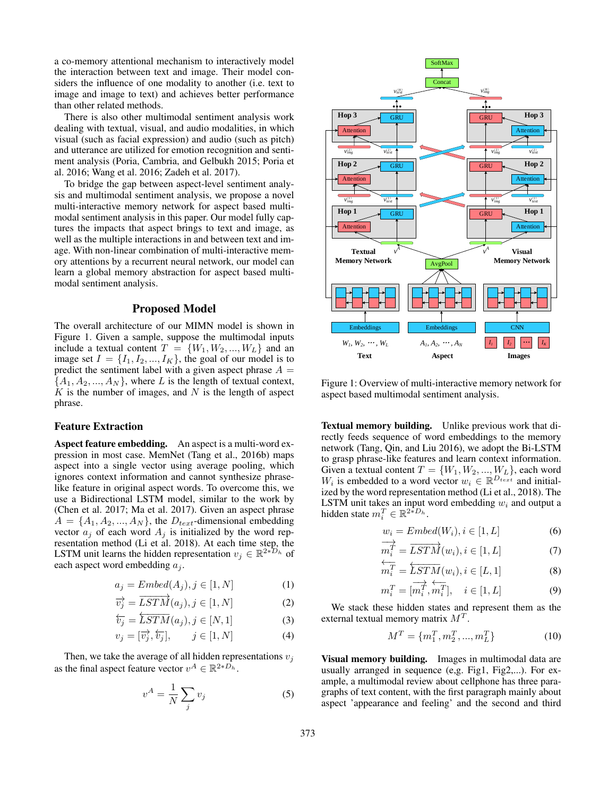a co-memory attentional mechanism to interactively model the interaction between text and image. Their model considers the influence of one modality to another (i.e. text to image and image to text) and achieves better performance than other related methods.

There is also other multimodal sentiment analysis work dealing with textual, visual, and audio modalities, in which visual (such as facial expression) and audio (such as pitch) and utterance are utilized for emotion recognition and sentiment analysis [\(Poria, Cambria, and Gelbukh 2015;](#page-7-20) [Poria et](#page-7-21) [al. 2016;](#page-7-21) [Wang et al. 2016;](#page-7-0) [Zadeh et al. 2017\)](#page-7-22).

To bridge the gap between aspect-level sentiment analysis and multimodal sentiment analysis, we propose a novel multi-interactive memory network for aspect based multimodal sentiment analysis in this paper. Our model fully captures the impacts that aspect brings to text and image, as well as the multiple interactions in and between text and image. With non-linear combination of multi-interactive memory attentions by a recurrent neural network, our model can learn a global memory abstraction for aspect based multimodal sentiment analysis.

## Proposed Model

The overall architecture of our MIMN model is shown in Figure [1.](#page-2-0) Given a sample, suppose the multimodal inputs include a textual content  $T = \{W_1, W_2, ..., W_L\}$  and an image set  $I = \{I_1, I_2, ..., I_K\}$ , the goal of our model is to predict the sentiment label with a given aspect phrase  $A =$  $\{A_1, A_2, ..., A_N\}$ , where L is the length of textual context,  $K$  is the number of images, and  $N$  is the length of aspect phrase.

## Feature Extraction

Aspect feature embedding. An aspect is a multi-word expression in most case. MemNet (Tang et al., 2016b) maps aspect into a single vector using average pooling, which ignores context information and cannot synthesize phraselike feature in original aspect words. To overcome this, we use a Bidirectional LSTM model, similar to the work by [\(Chen et al. 2017;](#page-7-3) [Ma et al. 2017\)](#page-7-2). Given an aspect phrase  $A = \{A_1, A_2, ..., A_N\}$ , the  $D_{text}$ -dimensional embedding vector  $a_j$  of each word  $A_j$  is initialized by the word representation method [\(Li et al. 2018\)](#page-7-23). At each time step, the LSTM unit learns the hidden representation  $v_j \in \mathbb{R}^{2*D_h}$  of each aspect word embedding  $a_i$ .

$$
a_j = Embed(A_j), j \in [1, N]
$$
 (1)

$$
\overrightarrow{v_j} = \overrightarrow{LSTM}(a_j), j \in [1, N] \tag{2}
$$

$$
\overleftarrow{v_j} = \overleftarrow{LSTM}(a_j), j \in [N, 1] \tag{3}
$$

$$
v_j = [\overrightarrow{v_j}, \overleftarrow{v_j}], \qquad j \in [1, N] \tag{4}
$$

Then, we take the average of all hidden representations  $v_j$ as the final aspect feature vector  $v^A \in \mathbb{R}^{2*D_h}$ .

$$
v^A = \frac{1}{N} \sum_j v_j \tag{5}
$$



<span id="page-2-0"></span>Figure 1: Overview of multi-interactive memory network for aspect based multimodal sentiment analysis.

Textual memory building. Unlike previous work that directly feeds sequence of word embeddings to the memory network [\(Tang, Qin, and Liu 2016\)](#page-7-1), we adopt the Bi-LSTM to grasp phrase-like features and learn context information. Given a textual content  $T = \{W_1, W_2, ..., W_L\}$ , each word  $W_i$  is embedded to a word vector  $w_i \in \mathbb{R}^{D_{text}}$  and initialized by the word representation method (Li et al., 2018). The LSTM unit takes an input word embedding  $w_i$  and output a hidden state  $m_i^T \in \mathbb{R}^{2*D_h}$ .

$$
w_i = Embed(W_i), i \in [1, L]
$$
\n(6)

$$
\overrightarrow{m_i^T} = \overrightarrow{LSTM}(w_i), i \in [1, L]
$$
\n(7)

$$
\overleftarrow{m_i^T} = \overleftarrow{LSTM}(w_i), i \in [L, 1] \tag{8}
$$

$$
m_i^T = \left[ \overrightarrow{m_i^T}, \overleftarrow{m_i^T} \right], \quad i \in [1, L] \tag{9}
$$

We stack these hidden states and represent them as the external textual memory matrix  $M<sup>T</sup>$ .

$$
M^T = \{m_1^T, m_2^T, ..., m_L^T\}
$$
 (10)

Visual memory building. Images in multimodal data are usually arranged in sequence (e,g. Fig1, Fig2,...). For example, a multimodal review about cellphone has three paragraphs of text content, with the first paragraph mainly about aspect 'appearance and feeling' and the second and third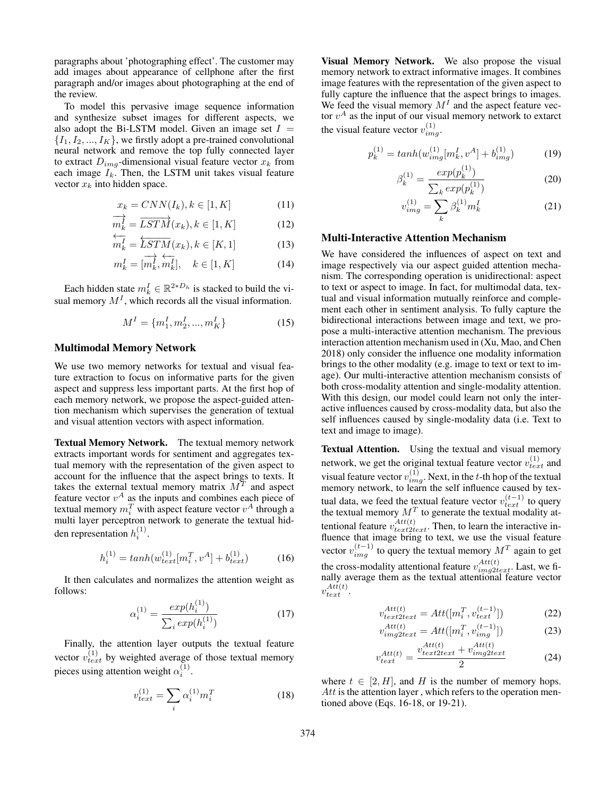paragraphs about 'photographing effect'. The customer may add images about appearance of cellphone after the first paragraph and/or images about photographing at the end of the review.

To model this pervasive image sequence information and synthesize subset images for different aspects, we also adopt the Bi-LSTM model. Given an image set  $I =$  $\{I_1, I_2, ..., I_K\}$ , we firstly adopt a pre-trained convolutional neural network and remove the top fully connected layer to extract  $D_{img}$ -dimensional visual feature vector  $x_k$  from each image  $I_k$ . Then, the LSTM unit takes visual feature vector  $x_k$  into hidden space.

$$
x_k = CNN(I_k), k \in [1, K]
$$
\n<sup>(11)</sup>

$$
\overrightarrow{m_k} = \overrightarrow{LSTM}(x_k), k \in [1, K]
$$
\n
$$
\leftarrow \qquad (12)
$$

$$
\overleftarrow{m_k^I} = \overleftarrow{LSTM}(x_k), k \in [K, 1] \tag{13}
$$

$$
m_k^I = [m_k^{\{f, m_k\}}, \quad k \in [1, K] \tag{14}
$$

Each hidden state  $m_k^I \in \mathbb{R}^{2*D_h}$  is stacked to build the visual memory  $M<sup>I</sup>$ , which records all the visual information.

$$
M^{I} = \{m_1^{I}, m_2^{I}, ..., m_K^{I}\}
$$
 (15)

## Multimodal Memory Network

We use two memory networks for textual and visual feature extraction to focus on informative parts for the given aspect and suppress less important parts. At the first hop of each memory network, we propose the aspect-guided attention mechanism which supervises the generation of textual and visual attention vectors with aspect information.

Textual Memory Network. The textual memory network extracts important words for sentiment and aggregates textual memory with the representation of the given aspect to account for the influence that the aspect brings to texts. It takes the external textual memory matrix  $M<sup>T</sup>$  and aspect feature vector  $v^A$  as the inputs and combines each piece of textual memory  $m_i^T$  with aspect feature vector  $v^A$  through a multi layer perceptron network to generate the textual hidden representation  $h_i^{(1)}$ .

$$
h_i^{(1)} = tanh(w_{text}^{(1)}[m_i^T, v^A] + b_{text}^{(1)})
$$
 (16)

It then calculates and normalizes the attention weight as follows:

$$
\alpha_i^{(1)} = \frac{\exp(h_i^{(1)})}{\sum_i \exp(h_i^{(1)})} \tag{17}
$$

Finally, the attention layer outputs the textual feature vector  $v_{text}^{(1)}$  by weighted average of those textual memory pieces using attention weight  $\alpha_i^{(1)}$ .

$$
v_{text}^{(1)} = \sum_{i} \alpha_i^{(1)} m_i^T
$$
 (18)

Visual Memory Network. We also propose the visual memory network to extract informative images. It combines image features with the representation of the given aspect to fully capture the influence that the aspect brings to images. We feed the visual memory  $M<sup>I</sup>$  and the aspect feature vector  $v^A$  as the input of our visual memory network to extarct the visual feature vector  $v_{img}^{(1)}$ .

$$
p_k^{(1)} = \tanh(w_{img}^{(1)}[m_k^I, v^A] + b_{img}^{(1)})\tag{19}
$$

$$
\beta_k^{(1)} = \frac{\exp(p_k^{(1)})}{\sum_k \exp(p_k^{(1)})}
$$
\n(20)

$$
v_{img}^{(1)} = \sum_{k} \beta_k^{(1)} m_k^I
$$
 (21)

#### Multi-Interactive Attention Mechanism

We have considered the influences of aspect on text and image respectively via our aspect guided attention mechanism. The corresponding operation is unidirectional: aspect to text or aspect to image. In fact, for multimodal data, textual and visual information mutually reinforce and complement each other in sentiment analysis. To fully capture the bidirectional interactions between image and text, we propose a multi-interactive attention mechanism. The previous interaction attention mechanism used in [\(Xu, Mao, and Chen](#page-7-6) [2018\)](#page-7-6) only consider the influence one modality information brings to the other modality (e.g. image to text or text to image). Our multi-interactive attention mechanism consists of both cross-modality attention and single-modality attention. With this design, our model could learn not only the interactive influences caused by cross-modality data, but also the self influences caused by single-modality data (i.e. Text to text and image to image).

Textual Attention. Using the textual and visual memory network, we get the original textual feature vector  $v_{text}^{(1)}$  and visual feature vector  $v_{img}^{(1)}$ . Next, in the t-th hop of the textual memory network, to learn the self influence caused by textual data, we feed the textual feature vector  $v_{text}^{(t-1)}$  to query the textual memory  $M<sup>T</sup>$  to generate the textual modality attentional feature  $v_{text2text}^{Att(t)}$ . Then, to learn the interactive influence that image bring to text, we use the visual feature vector  $v_{img}^{(t-1)}$  to query the textual memory  $M^T$  again to get the cross-modality attentional feature  $v_{img2text}^{Att(t)}$ . Last, we finally average them as the textual attentional feature vector  $v_{text}^{Att(t)}$ .

$$
v_{text2text}^{Att(t)} = Att([m_i^T, v_{text}^{(t-1)}])
$$
\n(22)

$$
v_{img2text}^{Att(t)} = Att([m_i^T, v_{img}^{(t-1)}])
$$
(23)

$$
v_{text}^{Att(t)} = \frac{v_{text2text}^{Att(t)}}{2} \tag{24}
$$

where  $t \in [2, H]$ , and H is the number of memory hops. Att is the attention layer, which refers to the operation mentioned above (Eqs. 16-18, or 19-21).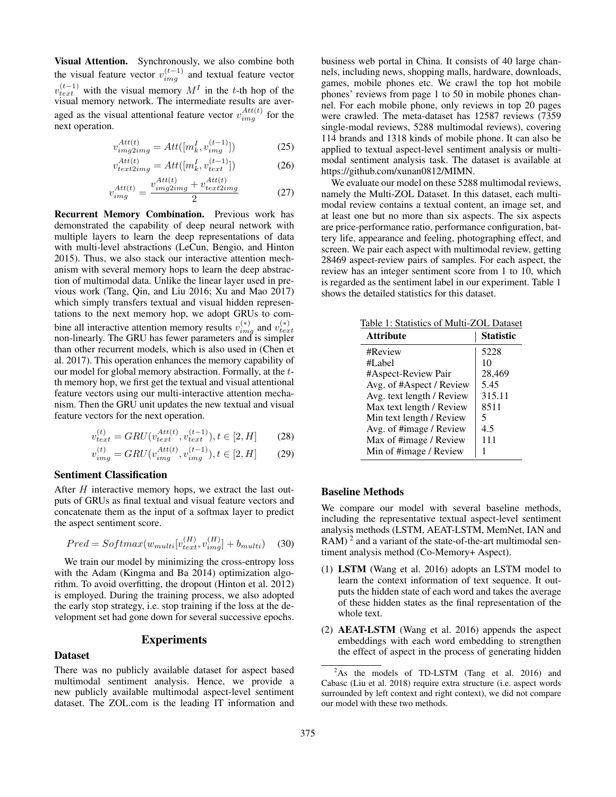Visual Attention. Synchronously, we also combine both the visual feature vector  $v_{img}^{(t-1)}$  and textual feature vector  $v_{text}^{(t-1)}$  with the visual memory  $M<sup>I</sup>$  in the t-th hop of the visual memory network. The intermediate results are averaged as the visual attentional feature vector  $v_{img}^{Att(t)}$  for the next operation.

$$
v_{img2img}^{Att(t)} = Att([m_k^I, v_{img}^{(t-1)}])
$$
\n(25)

$$
v_{text2img}^{Att(t)} = Att([m_k^I, v_{text}^{(t-1)}])
$$
\n
$$
_{\text{}^{Att(t)}}^{Att(t)} = At(t^2, \text{}^{Att(t)})
$$
\n
$$
(26)
$$

$$
v_{img}^{Att(t)} = \frac{v_{img2img}^{Att(t)} + v_{text2img}^{Att(t)}}{2}
$$
 (27)

Recurrent Memory Combination. Previous work has demonstrated the capability of deep neural network with multiple layers to learn the deep representations of data with multi-level abstractions [\(LeCun, Bengio, and Hinton](#page-7-24) [2015\)](#page-7-24). Thus, we also stack our interactive attention mechanism with several memory hops to learn the deep abstraction of multimodal data. Unlike the linear layer used in previous work [\(Tang, Qin, and Liu 2016;](#page-7-1) [Xu and Mao 2017\)](#page-7-19) which simply transfers textual and visual hidden representations to the next memory hop, we adopt GRUs to combine all interactive attention memory results  $v_{img}^{(*)}$  and  $v_{text}^{(*)}$ <br>non-linearly. The GRU has fewer parameters and is simpler than other recurrent models, which is also used in [\(Chen et](#page-7-3) [al. 2017\)](#page-7-3). This operation enhances the memory capability of our model for global memory abstraction. Formally, at the tth memory hop, we first get the textual and visual attentional feature vectors using our multi-interactive attention mechanism. Then the GRU unit updates the new textual and visual feature vectors for the next operation.

$$
v_{text}^{(t)} = GRU(v_{text}^{Att(t)}, v_{text}^{(t-1)}), t \in [2, H] \tag{28}
$$

$$
v_{img}^{(t)} = GRU(v_{img}^{Att(t)}, v_{img}^{(t-1)}), t \in [2, H] \tag{29}
$$

#### Sentiment Classification

After H interactive memory hops, we extract the last outputs of GRUs as final textual and visual feature vectors and concatenate them as the input of a softmax layer to predict the aspect sentiment score.

$$
Pred = Softmax(w_{multi}[v_{text}^{(H)}, v_{img}^{(H)}] + b_{multi}) \quad (30)
$$

We train our model by minimizing the cross-entropy loss with the Adam [\(Kingma and Ba 2014\)](#page-7-25) optimization algorithm. To avoid overfitting, the dropout [\(Hinton et al. 2012\)](#page-7-26) is employed. During the training process, we also adopted the early stop strategy, i.e. stop training if the loss at the development set had gone down for several successive epochs.

#### **Experiments**

#### Dataset

There was no publicly available dataset for aspect based multimodal sentiment analysis. Hence, we provide a new publicly available multimodal aspect-level sentiment dataset. The ZOL.com is the leading IT information and business web portal in China. It consists of 40 large channels, including news, shopping malls, hardware, downloads, games, mobile phones etc. We crawl the top hot mobile phones' reviews from page 1 to 50 in mobile phones channel. For each mobile phone, only reviews in top 20 pages were crawled. The meta-dataset has 12587 reviews (7359 single-modal reviews, 5288 multimodal reviews), covering 114 brands and 1318 kinds of mobile phone. It can also be applied to textual aspect-level sentiment analysis or multimodal sentiment analysis task. The dataset is available at https://github.com/xunan0812/MIMN.

We evaluate our model on these 5288 multimodal reviews, namely the Multi-ZOL Dataset. In this dataset, each multimodal review contains a textual content, an image set, and at least one but no more than six aspects. The six aspects are price-performance ratio, performance configuration, battery life, appearance and feeling, photographing effect, and screen. We pair each aspect with multimodal review, getting 28469 aspect-review pairs of samples. For each aspect, the review has an integer sentiment score from 1 to 10, which is regarded as the sentiment label in our experiment. Table [1](#page-4-0) shows the detailed statistics for this dataset.

<span id="page-4-0"></span>

| Table 1: Statistics of Multi-ZUL Dataset |  |  |  |
|------------------------------------------|--|--|--|
| <b>Statistic</b>                         |  |  |  |
| 5228                                     |  |  |  |
| 10                                       |  |  |  |
| 28,469                                   |  |  |  |
| 5.45                                     |  |  |  |
| 315.11                                   |  |  |  |
| 8511                                     |  |  |  |
| 5                                        |  |  |  |
| 4.5                                      |  |  |  |
| 111                                      |  |  |  |
|                                          |  |  |  |
|                                          |  |  |  |

# Table 1: Statistics of Multi-ZOL Dataset

## Baseline Methods

We compare our model with several baseline methods, including the representative textual aspect-level sentiment analysis methods (LSTM, AEAT-LSTM, MemNet, IAN and  $RAM$ )  $^{2}$  $^{2}$  $^{2}$  and a variant of the state-of-the-art multimodal sentiment analysis method (Co-Memory+ Aspect).

- (1) LSTM [\(Wang et al. 2016\)](#page-7-0) adopts an LSTM model to learn the context information of text sequence. It outputs the hidden state of each word and takes the average of these hidden states as the final representation of the whole text.
- (2) AEAT-LSTM [\(Wang et al. 2016\)](#page-7-0) appends the aspect embeddings with each word embedding to strengthen the effect of aspect in the process of generating hidden

<span id="page-4-1"></span> ${}^{2}$ As the models of TD-LSTM [\(Tang et al. 2016\)](#page-7-17) and Cabasc [\(Liu et al. 2018\)](#page-7-18) require extra structure (i.e. aspect words surrounded by left context and right context), we did not compare our model with these two methods.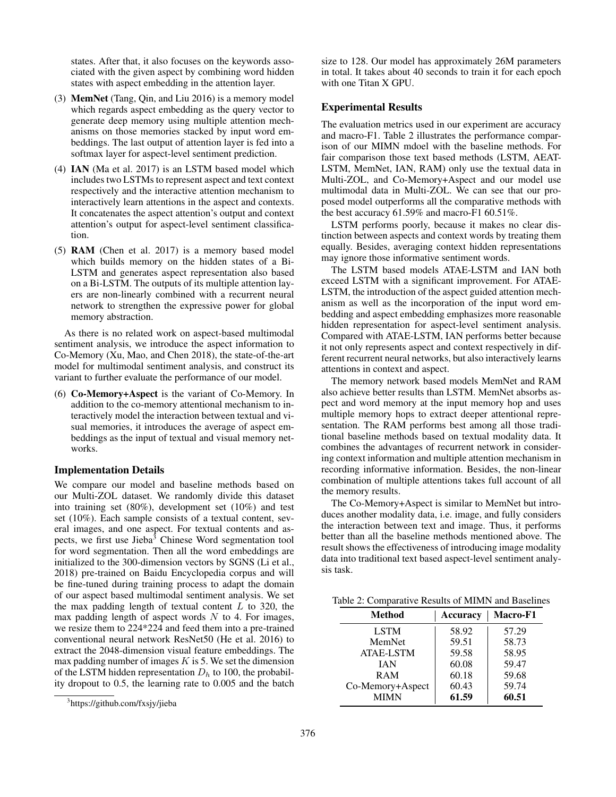states. After that, it also focuses on the keywords associated with the given aspect by combining word hidden states with aspect embedding in the attention layer.

- (3) MemNet [\(Tang, Qin, and Liu 2016\)](#page-7-1) is a memory model which regards aspect embedding as the query vector to generate deep memory using multiple attention mechanisms on those memories stacked by input word embeddings. The last output of attention layer is fed into a softmax layer for aspect-level sentiment prediction.
- (4) IAN [\(Ma et al. 2017\)](#page-7-2) is an LSTM based model which includes two LSTMs to represent aspect and text context respectively and the interactive attention mechanism to interactively learn attentions in the aspect and contexts. It concatenates the aspect attention's output and context attention's output for aspect-level sentiment classification.
- (5) RAM [\(Chen et al. 2017\)](#page-7-3) is a memory based model which builds memory on the hidden states of a Bi-LSTM and generates aspect representation also based on a Bi-LSTM. The outputs of its multiple attention layers are non-linearly combined with a recurrent neural network to strengthen the expressive power for global memory abstraction.

As there is no related work on aspect-based multimodal sentiment analysis, we introduce the aspect information to Co-Memory [\(Xu, Mao, and Chen 2018\)](#page-7-6), the state-of-the-art model for multimodal sentiment analysis, and construct its variant to further evaluate the performance of our model.

(6) Co-Memory+Aspect is the variant of Co-Memory. In addition to the co-memory attentional mechanism to interactively model the interaction between textual and visual memories, it introduces the average of aspect embeddings as the input of textual and visual memory networks.

## Implementation Details

We compare our model and baseline methods based on our Multi-ZOL dataset. We randomly divide this dataset into training set (80%), development set (10%) and test set (10%). Each sample consists of a textual content, several images, and one aspect. For textual contents and as-pects, we first use Jieba<sup>[3](#page-5-0)</sup> Chinese Word segmentation tool for word segmentation. Then all the word embeddings are initialized to the 300-dimension vectors by SGNS (Li et al., 2018) pre-trained on Baidu Encyclopedia corpus and will be fine-tuned during training process to adapt the domain of our aspect based multimodal sentiment analysis. We set the max padding length of textual content  $L$  to 320, the max padding length of aspect words  $N$  to 4. For images, we resize them to 224\*224 and feed them into a pre-trained conventional neural network ResNet50 [\(He et al. 2016\)](#page-7-27) to extract the 2048-dimension visual feature embeddings. The max padding number of images  $K$  is 5. We set the dimension of the LSTM hidden representation  $D<sub>h</sub>$  to 100, the probability dropout to 0.5, the learning rate to 0.005 and the batch

size to 128. Our model has approximately 26M parameters in total. It takes about 40 seconds to train it for each epoch with one Titan X GPU.

#### Experimental Results

The evaluation metrics used in our experiment are accuracy and macro-F1. Table [2](#page-5-1) illustrates the performance comparison of our MIMN mdoel with the baseline methods. For fair comparison those text based methods (LSTM, AEAT-LSTM, MemNet, IAN, RAM) only use the textual data in Multi-ZOL, and Co-Memory+Aspect and our model use multimodal data in Multi-ZOL. We can see that our proposed model outperforms all the comparative methods with the best accuracy 61.59% and macro-F1 60.51%.

LSTM performs poorly, because it makes no clear distinction between aspects and context words by treating them equally. Besides, averaging context hidden representations may ignore those informative sentiment words.

The LSTM based models ATAE-LSTM and IAN both exceed LSTM with a significant improvement. For ATAE-LSTM, the introduction of the aspect guided attention mechanism as well as the incorporation of the input word embedding and aspect embedding emphasizes more reasonable hidden representation for aspect-level sentiment analysis. Compared with ATAE-LSTM, IAN performs better because it not only represents aspect and context respectively in different recurrent neural networks, but also interactively learns attentions in context and aspect.

The memory network based models MemNet and RAM also achieve better results than LSTM. MemNet absorbs aspect and word memory at the input memory hop and uses multiple memory hops to extract deeper attentional representation. The RAM performs best among all those traditional baseline methods based on textual modality data. It combines the advantages of recurrent network in considering context information and multiple attention mechanism in recording informative information. Besides, the non-linear combination of multiple attentions takes full account of all the memory results.

The Co-Memory+Aspect is similar to MemNet but introduces another modality data, i.e. image, and fully considers the interaction between text and image. Thus, it performs better than all the baseline methods mentioned above. The result shows the effectiveness of introducing image modality data into traditional text based aspect-level sentiment analysis task.

Table 2: Comparative Results of MIMN and Baselines

<span id="page-5-1"></span>

| <b>Method</b>    | Accuracv | Macro-F1 |
|------------------|----------|----------|
| <b>LSTM</b>      | 58.92    | 57.29    |
| MemNet           | 59.51    | 58.73    |
| <b>ATAE-LSTM</b> | 59.58    | 58.95    |
| <b>IAN</b>       | 60.08    | 59.47    |
| <b>RAM</b>       | 60.18    | 59.68    |
| Co-Memory+Aspect | 60.43    | 59.74    |
| MIMN             | 61.59    | 60.51    |

<span id="page-5-0"></span><sup>3</sup> https://github.com/fxsjy/jieba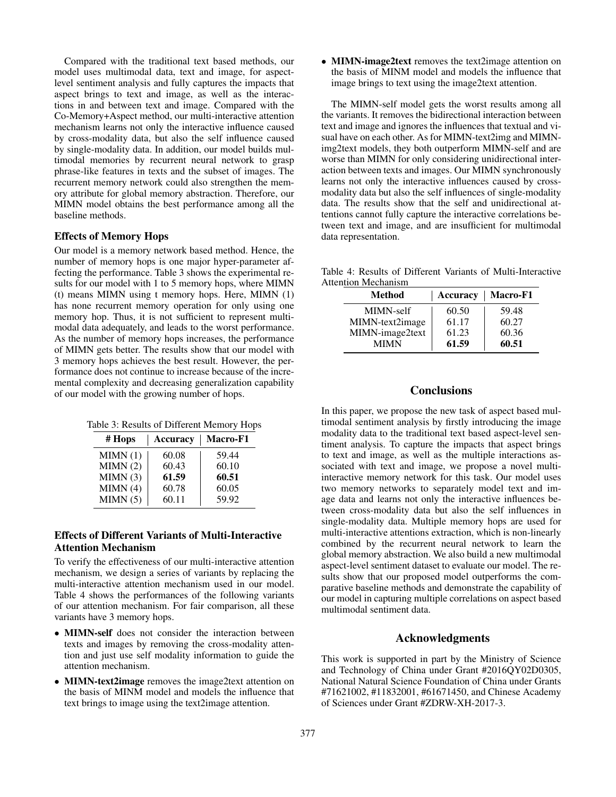Compared with the traditional text based methods, our model uses multimodal data, text and image, for aspectlevel sentiment analysis and fully captures the impacts that aspect brings to text and image, as well as the interactions in and between text and image. Compared with the Co-Memory+Aspect method, our multi-interactive attention mechanism learns not only the interactive influence caused by cross-modality data, but also the self influence caused by single-modality data. In addition, our model builds multimodal memories by recurrent neural network to grasp phrase-like features in texts and the subset of images. The recurrent memory network could also strengthen the memory attribute for global memory abstraction. Therefore, our MIMN model obtains the best performance among all the baseline methods.

## Effects of Memory Hops

Our model is a memory network based method. Hence, the number of memory hops is one major hyper-parameter affecting the performance. Table [3](#page-6-0) shows the experimental results for our model with 1 to 5 memory hops, where MIMN (t) means MIMN using t memory hops. Here, MIMN (1) has none recurrent memory operation for only using one memory hop. Thus, it is not sufficient to represent multimodal data adequately, and leads to the worst performance. As the number of memory hops increases, the performance of MIMN gets better. The results show that our model with 3 memory hops achieves the best result. However, the performance does not continue to increase because of the incremental complexity and decreasing generalization capability of our model with the growing number of hops.

| Table 3: Results of Different Memory Hops |  |  |  |
|-------------------------------------------|--|--|--|
|-------------------------------------------|--|--|--|

<span id="page-6-0"></span>

| # Hops  | <b>Accuracy</b> | Macro-F1 |
|---------|-----------------|----------|
| MIMN(1) | 60.08           | 59.44    |
| MIN(2)  | 60.43           | 60.10    |
| MIN(3)  | 61.59           | 60.51    |
| MIN(4)  | 60.78           | 60.05    |
| MIN(5)  | 60.11           | 59.92    |

## Effects of Different Variants of Multi-Interactive Attention Mechanism

To verify the effectiveness of our multi-interactive attention mechanism, we design a series of variants by replacing the multi-interactive attention mechanism used in our model. Table [4](#page-6-1) shows the performances of the following variants of our attention mechanism. For fair comparison, all these variants have 3 memory hops.

- MIMN-self does not consider the interaction between texts and images by removing the cross-modality attention and just use self modality information to guide the attention mechanism.
- MIMN-text2image removes the image2text attention on the basis of MINM model and models the influence that text brings to image using the text2image attention.

• MIMN-image2text removes the text2image attention on the basis of MINM model and models the influence that image brings to text using the image2text attention.

The MIMN-self model gets the worst results among all the variants. It removes the bidirectional interaction between text and image and ignores the influences that textual and visual have on each other. As for MIMN-text2img and MIMNimg2text models, they both outperform MIMN-self and are worse than MIMN for only considering unidirectional interaction between texts and images. Our MIMN synchronously learns not only the interactive influences caused by crossmodality data but also the self influences of single-modality data. The results show that the self and unidirectional attentions cannot fully capture the interactive correlations between text and image, and are insufficient for multimodal data representation.

Table 4: Results of Different Variants of Multi-Interactive Attention Mechanism

<span id="page-6-1"></span>

| <b>Method</b>   | Accuracy | Macro-F1 |
|-----------------|----------|----------|
| MIMN-self       | 60.50    | 59.48    |
| MIMN-text2image | 61.17    | 60.27    |
| MIMN-image2text | 61.23    | 60.36    |
| <b>MIMN</b>     | 61.59    | 60.51    |

## **Conclusions**

In this paper, we propose the new task of aspect based multimodal sentiment analysis by firstly introducing the image modality data to the traditional text based aspect-level sentiment analysis. To capture the impacts that aspect brings to text and image, as well as the multiple interactions associated with text and image, we propose a novel multiinteractive memory network for this task. Our model uses two memory networks to separately model text and image data and learns not only the interactive influences between cross-modality data but also the self influences in single-modality data. Multiple memory hops are used for multi-interactive attentions extraction, which is non-linearly combined by the recurrent neural network to learn the global memory abstraction. We also build a new multimodal aspect-level sentiment dataset to evaluate our model. The results show that our proposed model outperforms the comparative baseline methods and demonstrate the capability of our model in capturing multiple correlations on aspect based multimodal sentiment data.

## Acknowledgments

This work is supported in part by the Ministry of Science and Technology of China under Grant #2016QY02D0305, National Natural Science Foundation of China under Grants #71621002, #11832001, #61671450, and Chinese Academy of Sciences under Grant #ZDRW-XH-2017-3.